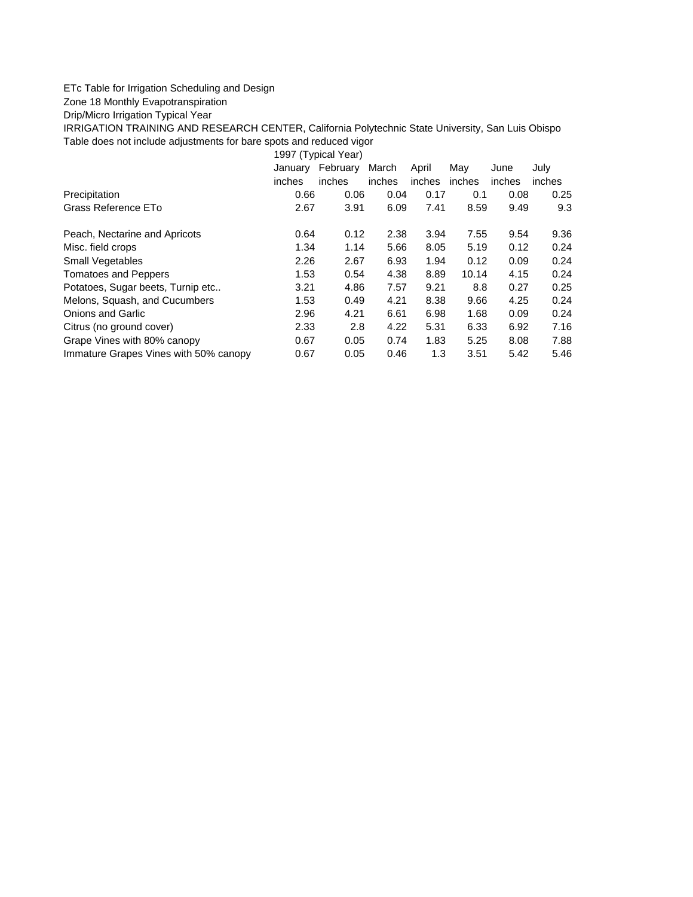## ETc Table for Irrigation Scheduling and Design

## Zone 18 Monthly Evapotranspiration

Drip/Micro Irrigation Typical Year

IRRIGATION TRAINING AND RESEARCH CENTER, California Polytechnic State University, San Luis Obispo Table does not include adjustments for bare spots and reduced vigor

1997 (Typical Year)

|                                       | January | February | March  | April  | May    | June   | July   |
|---------------------------------------|---------|----------|--------|--------|--------|--------|--------|
|                                       | inches  | inches   | inches | inches | inches | inches | inches |
| Precipitation                         | 0.66    | 0.06     | 0.04   | 0.17   | 0.1    | 0.08   | 0.25   |
| Grass Reference ETo                   | 2.67    | 3.91     | 6.09   | 7.41   | 8.59   | 9.49   | 9.3    |
| Peach, Nectarine and Apricots         | 0.64    | 0.12     | 2.38   | 3.94   | 7.55   | 9.54   | 9.36   |
| Misc. field crops                     | 1.34    | 1.14     | 5.66   | 8.05   | 5.19   | 0.12   | 0.24   |
| Small Vegetables                      | 2.26    | 2.67     | 6.93   | 1.94   | 0.12   | 0.09   | 0.24   |
| <b>Tomatoes and Peppers</b>           | 1.53    | 0.54     | 4.38   | 8.89   | 10.14  | 4.15   | 0.24   |
| Potatoes, Sugar beets, Turnip etc     | 3.21    | 4.86     | 7.57   | 9.21   | 8.8    | 0.27   | 0.25   |
| Melons, Squash, and Cucumbers         | 1.53    | 0.49     | 4.21   | 8.38   | 9.66   | 4.25   | 0.24   |
| <b>Onions and Garlic</b>              | 2.96    | 4.21     | 6.61   | 6.98   | 1.68   | 0.09   | 0.24   |
| Citrus (no ground cover)              | 2.33    | 2.8      | 4.22   | 5.31   | 6.33   | 6.92   | 7.16   |
| Grape Vines with 80% canopy           | 0.67    | 0.05     | 0.74   | 1.83   | 5.25   | 8.08   | 7.88   |
| Immature Grapes Vines with 50% canopy | 0.67    | 0.05     | 0.46   | 1.3    | 3.51   | 5.42   | 5.46   |